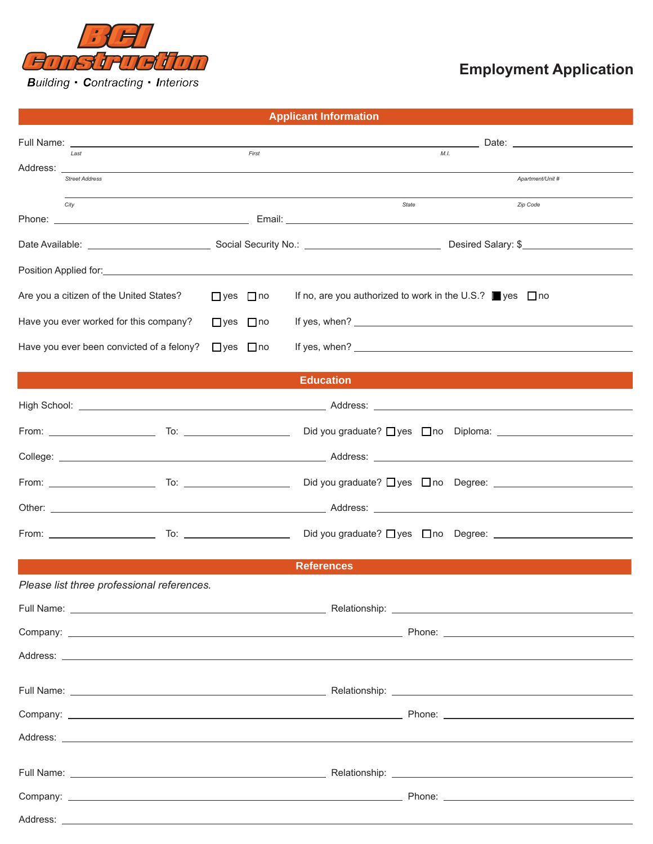

## **Employment Application**

|  |  |  | <b>Applicant Information</b> |
|--|--|--|------------------------------|
|  |  |  |                              |

|                                                                                                                                                                                                                                     |                      | Date: _________________________                                                                                                                                                                                                      |
|-------------------------------------------------------------------------------------------------------------------------------------------------------------------------------------------------------------------------------------|----------------------|--------------------------------------------------------------------------------------------------------------------------------------------------------------------------------------------------------------------------------------|
| Last<br>Address:                                                                                                                                                                                                                    | First                | M.L.                                                                                                                                                                                                                                 |
| <b>Street Address</b>                                                                                                                                                                                                               |                      | Apartment/Unit #                                                                                                                                                                                                                     |
| City                                                                                                                                                                                                                                |                      | Zip Code<br>State                                                                                                                                                                                                                    |
|                                                                                                                                                                                                                                     |                      |                                                                                                                                                                                                                                      |
|                                                                                                                                                                                                                                     |                      |                                                                                                                                                                                                                                      |
| Position Applied for: <b>All and Security Control</b> to the control of the control of the control of the control of the control of the control of the control of the control of the control of the control of the control of the c |                      |                                                                                                                                                                                                                                      |
| Are you a citizen of the United States?                                                                                                                                                                                             | $\Box$ yes $\Box$ no | If no, are you authorized to work in the U.S.? $\Box$ yes $\Box$ no                                                                                                                                                                  |
| Have you ever worked for this company?                                                                                                                                                                                              | $\Box$ yes $\Box$ no | If yes, when? $\sqrt{ }$                                                                                                                                                                                                             |
| Have you ever been convicted of a felony?                                                                                                                                                                                           | $\Box$ yes $\Box$ no |                                                                                                                                                                                                                                      |
|                                                                                                                                                                                                                                     |                      | <b>Education</b>                                                                                                                                                                                                                     |
|                                                                                                                                                                                                                                     |                      |                                                                                                                                                                                                                                      |
|                                                                                                                                                                                                                                     |                      | Did you graduate? Uyes Uno Diploma: University of the University Old you graduate? Uyes Uno Diploma:                                                                                                                                 |
|                                                                                                                                                                                                                                     |                      |                                                                                                                                                                                                                                      |
|                                                                                                                                                                                                                                     |                      |                                                                                                                                                                                                                                      |
|                                                                                                                                                                                                                                     |                      |                                                                                                                                                                                                                                      |
|                                                                                                                                                                                                                                     |                      |                                                                                                                                                                                                                                      |
|                                                                                                                                                                                                                                     |                      | <b>References</b>                                                                                                                                                                                                                    |
| Please list three professional references.                                                                                                                                                                                          |                      |                                                                                                                                                                                                                                      |
|                                                                                                                                                                                                                                     |                      |                                                                                                                                                                                                                                      |
|                                                                                                                                                                                                                                     |                      |                                                                                                                                                                                                                                      |
|                                                                                                                                                                                                                                     |                      | Address: <u>the contract of the contract of the contract of the contract of the contract of the contract of the contract of the contract of the contract of the contract of the contract of the contract of the contract of the </u> |
|                                                                                                                                                                                                                                     |                      |                                                                                                                                                                                                                                      |
|                                                                                                                                                                                                                                     |                      |                                                                                                                                                                                                                                      |
|                                                                                                                                                                                                                                     |                      |                                                                                                                                                                                                                                      |
|                                                                                                                                                                                                                                     |                      |                                                                                                                                                                                                                                      |
|                                                                                                                                                                                                                                     |                      |                                                                                                                                                                                                                                      |
|                                                                                                                                                                                                                                     |                      |                                                                                                                                                                                                                                      |
|                                                                                                                                                                                                                                     |                      |                                                                                                                                                                                                                                      |